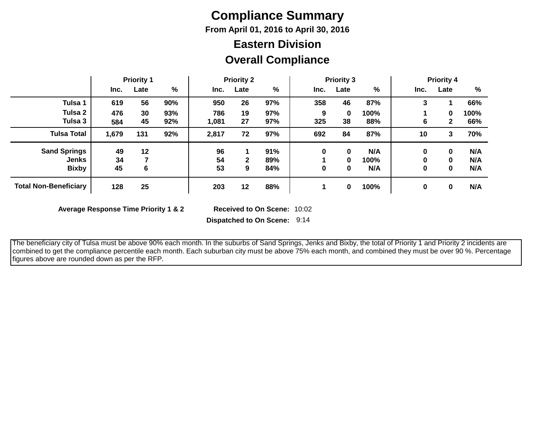## **Compliance Summary**

**From April 01, 2016 to April 30, 2016**

### **Eastern Division**

### **Overall Compliance**

|                              | <b>Priority 1</b> |      | <b>Priority 2</b> |       |              | <b>Priority 3</b> |      |      | <b>Priority 4</b> |      |              |      |
|------------------------------|-------------------|------|-------------------|-------|--------------|-------------------|------|------|-------------------|------|--------------|------|
|                              | Inc.              | Late | %                 | Inc.  | Late         | %                 | Inc. | Late | %                 | Inc. | Late         | %    |
| Tulsa 1                      | 619               | 56   | 90%               | 950   | 26           | 97%               | 358  | 46   | 87%               | 3    |              | 66%  |
| Tulsa 2                      | 476               | 30   | 93%               | 786   | 19           | 97%               | 9    | 0    | 100%              |      | $\bf{0}$     | 100% |
| Tulsa 3                      | 584               | 45   | 92%               | 1,081 | 27           | 97%               | 325  | 38   | 88%               | 6    | $\mathbf{2}$ | 66%  |
| <b>Tulsa Total</b>           | 1,679             | 131  | 92%               | 2,817 | 72           | 97%               | 692  | 84   | 87%               | 10   | 3            | 70%  |
| <b>Sand Springs</b>          | 49                | 12   |                   | 96    |              | 91%               | 0    | 0    | N/A               | 0    | 0            | N/A  |
| Jenks                        | 34                |      |                   | 54    | $\mathbf{2}$ | 89%               |      | 0    | 100%              | 0    | $\bf{0}$     | N/A  |
| <b>Bixby</b>                 | 45                | 6    |                   | 53    | 9            | 84%               | 0    | 0    | N/A               | 0    | 0            | N/A  |
| <b>Total Non-Beneficiary</b> | 128               | 25   |                   | 203   | 12           | 88%               |      | 0    | 100%              | 0    | 0            | N/A  |

**Average Response Time Priority 1 & 2** 

Received to On Scene: 10:02

**Dispatched to On Scene:** 9:14

 The beneficiary city of Tulsa must be above 90% each month. In the suburbs of Sand Springs, Jenks and Bixby, the total of Priority 1 and Priority 2 incidents are combined to get the compliance percentile each month. Each suburban city must be above 75% each month, and combined they must be over 90 %. Percentage figures above are rounded down as per the RFP.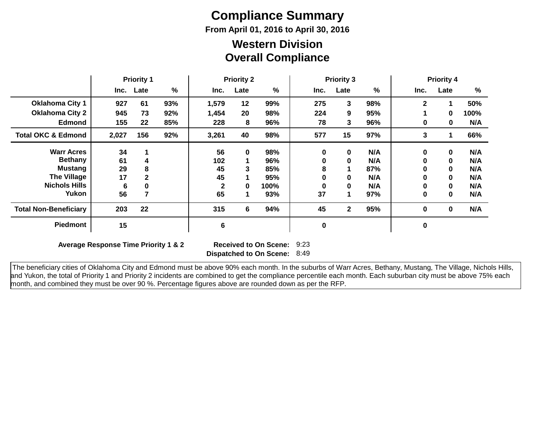# **Compliance Summary**

**From April 01, 2016 to April 30, 2016**

#### **Overall Compliance Western Division**

|                               | <b>Priority 1</b> |              | <b>Priority 2</b> |              |           | <b>Priority 3</b> |           |              | <b>Priority 4</b> |              |              |      |
|-------------------------------|-------------------|--------------|-------------------|--------------|-----------|-------------------|-----------|--------------|-------------------|--------------|--------------|------|
|                               | Inc.              | Late         | %                 | Inc.         | Late      | %                 | Inc.      | Late         | %                 | Inc.         | Late         | $\%$ |
| <b>Oklahoma City 1</b>        | 927               | 61           | 93%               | 1,579        | 12        | 99%               | 275       | 3            | 98%               | $\mathbf{2}$ |              | 50%  |
| <b>Oklahoma City 2</b>        | 945               | 73           | 92%               | 1,454        | 20        | 98%               | 224       | 9            | 95%               |              | $\mathbf 0$  | 100% |
| <b>Edmond</b>                 | 155               | 22           | 85%               | 228          | 8         | 96%               | 78        | 3            | 96%               | 0            | 0            | N/A  |
| <b>Total OKC &amp; Edmond</b> | 2,027             | 156          | 92%               | 3,261        | 40        | 98%               | 577       | 15           | 97%               | 3            |              | 66%  |
| <b>Warr Acres</b>             | 34                |              |                   | 56           | $\pmb{0}$ | 98%               | 0         | 0            | N/A               | 0            | $\mathbf 0$  | N/A  |
| <b>Bethany</b>                | 61                | 4            |                   | 102          |           | 96%               | 0         | 0            | N/A               | 0            | $\mathbf 0$  | N/A  |
| <b>Mustang</b>                | 29                | 8            |                   | 45           | 3         | 85%               | 8         |              | 87%               | 0            | $\mathbf{0}$ | N/A  |
| <b>The Village</b>            | 17                | $\mathbf{2}$ |                   | 45           |           | 95%               | 0         | 0            | N/A               | 0            | $\mathbf{0}$ | N/A  |
| <b>Nichols Hills</b>          | 6                 | 0            |                   | $\mathbf{2}$ | $\bf{0}$  | 100%              | 0         | 0            | N/A               | 0            | $\mathbf{0}$ | N/A  |
| Yukon                         | 56                | 7            |                   | 65           |           | 93%               | 37        | 1            | 97%               | 0            | $\bf{0}$     | N/A  |
| <b>Total Non-Beneficiary</b>  | 203               | 22           |                   | 315          | 6         | 94%               | 45        | $\mathbf{2}$ | 95%               | 0            | $\mathbf{0}$ | N/A  |
| <b>Piedmont</b>               | 15                |              |                   | 6            |           |                   | $\pmb{0}$ |              |                   | 0            |              |      |

**Average Response Time Priority 1 & 2** 

**Dispatched to On Scene:** 8:49 Received to On Scene: 9:23

 The beneficiary cities of Oklahoma City and Edmond must be above 90% each month. In the suburbs of Warr Acres, Bethany, Mustang, The Village, Nichols Hills, and Yukon, the total of Priority 1 and Priority 2 incidents are combined to get the compliance percentile each month. Each suburban city must be above 75% each month, and combined they must be over 90 %. Percentage figures above are rounded down as per the RFP.